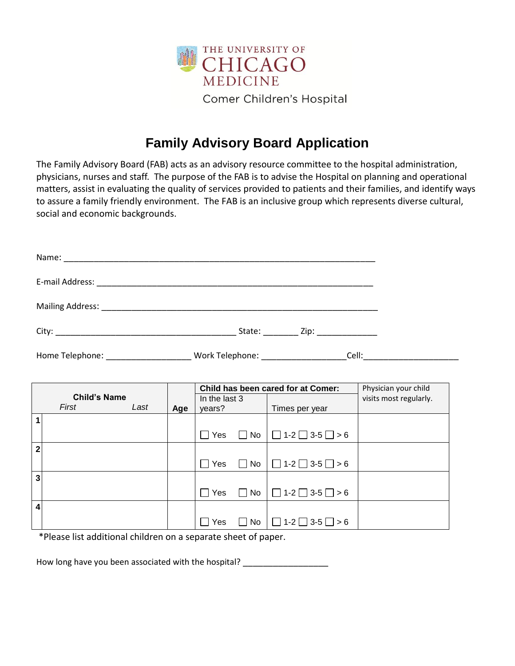

## **Family Advisory Board Application**

The Family Advisory Board (FAB) acts as an advisory resource committee to the hospital administration, physicians, nurses and staff. The purpose of the FAB is to advise the Hospital on planning and operational matters, assist in evaluating the quality of services provided to patients and their families, and identify ways to assure a family friendly environment. The FAB is an inclusive group which represents diverse cultural, social and economic backgrounds.

| Home Telephone: __________________________Work Telephone: ______________________Cell: ________________________ |  |     |                         |            |                |                                                       |  |  |  |  |  |
|----------------------------------------------------------------------------------------------------------------|--|-----|-------------------------|------------|----------------|-------------------------------------------------------|--|--|--|--|--|
| Child has been cared for at Comer:<br>Physician your child                                                     |  |     |                         |            |                |                                                       |  |  |  |  |  |
| <b>Child's Name</b><br>First<br>Last                                                                           |  | Age | In the last 3<br>years? |            | Times per year | visits most regularly.                                |  |  |  |  |  |
| $\mathbf{1}$                                                                                                   |  |     |                         |            |                | $\Box$ Yes $\Box$ No $\Box$ 1-2 $\Box$ 3-5 $\Box$ > 6 |  |  |  |  |  |
| $\overline{2}$                                                                                                 |  |     |                         | $\Box$ Yes |                | $\Box$ No $\Box$ 1-2 $\Box$ 3-5 $\Box$ > 6            |  |  |  |  |  |
| ن                                                                                                              |  |     |                         |            |                |                                                       |  |  |  |  |  |
| $\overline{\mathbf{4}}$                                                                                        |  |     |                         | $\Box$ Yes |                | $\Box$ No $\Box$ 1-2 $\Box$ 3-5 $\Box$ > 6            |  |  |  |  |  |
|                                                                                                                |  |     |                         | Yes        |                | $\Box$ No $\Box$ 1-2 $\Box$ 3-5 $\Box$ > 6            |  |  |  |  |  |

\*Please list additional children on a separate sheet of paper.

How long have you been associated with the hospital? \_\_\_\_\_\_\_\_\_\_\_\_\_